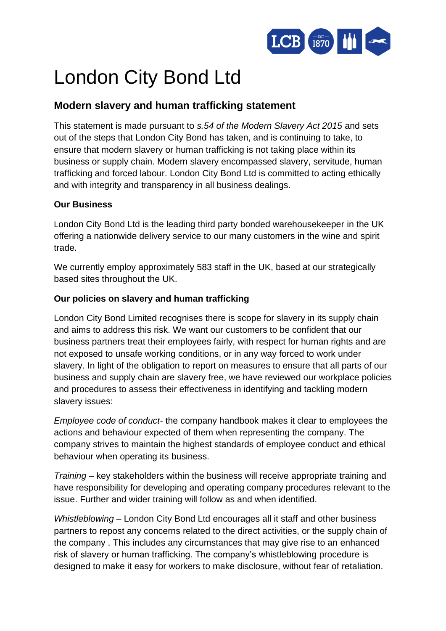

# London City Bond Ltd

## **Modern slavery and human trafficking statement**

This statement is made pursuant to *s.54 of the Modern Slavery Act 2015* and sets out of the steps that London City Bond has taken, and is continuing to take, to ensure that modern slavery or human trafficking is not taking place within its business or supply chain. Modern slavery encompassed slavery, servitude, human trafficking and forced labour. London City Bond Ltd is committed to acting ethically and with integrity and transparency in all business dealings.

### **Our Business**

London City Bond Ltd is the leading third party bonded warehousekeeper in the UK offering a nationwide delivery service to our many customers in the wine and spirit trade.

We currently employ approximately 583 staff in the UK, based at our strategically based sites throughout the UK.

### **Our policies on slavery and human trafficking**

London City Bond Limited recognises there is scope for slavery in its supply chain and aims to address this risk. We want our customers to be confident that our business partners treat their employees fairly, with respect for human rights and are not exposed to unsafe working conditions, or in any way forced to work under slavery. In light of the obligation to report on measures to ensure that all parts of our business and supply chain are slavery free, we have reviewed our workplace policies and procedures to assess their effectiveness in identifying and tackling modern slavery issues:

*Employee code of conduct*- the company handbook makes it clear to employees the actions and behaviour expected of them when representing the company. The company strives to maintain the highest standards of employee conduct and ethical behaviour when operating its business.

*Training* – key stakeholders within the business will receive appropriate training and have responsibility for developing and operating company procedures relevant to the issue. Further and wider training will follow as and when identified.

*Whistleblowing* – London City Bond Ltd encourages all it staff and other business partners to repost any concerns related to the direct activities, or the supply chain of the company . This includes any circumstances that may give rise to an enhanced risk of slavery or human trafficking. The company's whistleblowing procedure is designed to make it easy for workers to make disclosure, without fear of retaliation.